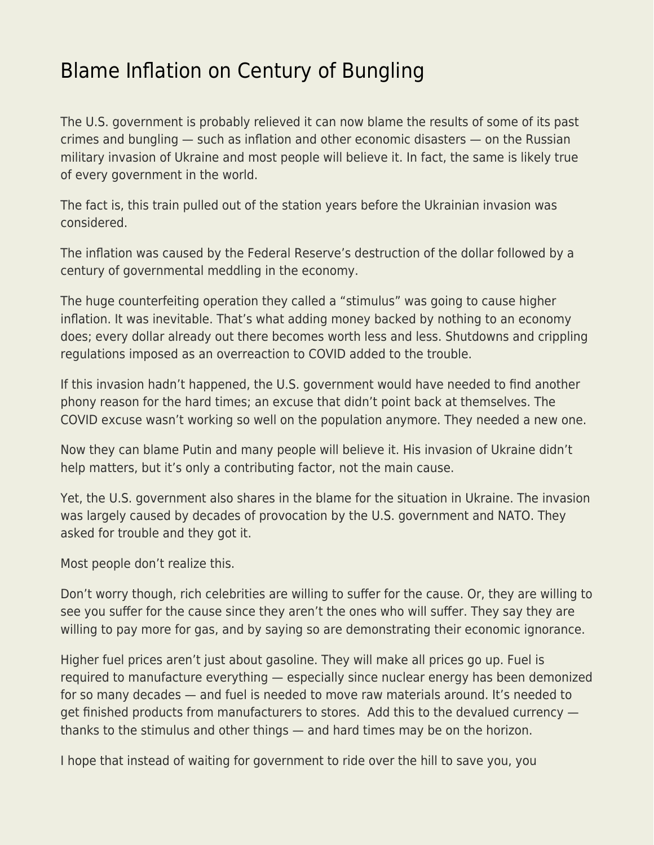## [Blame Inflation on Century of Bungling](https://everything-voluntary.com/blame-inflation-on-century-of-bungling)

The U.S. government is probably relieved it can now blame the results of some of its past crimes and bungling — such as inflation and other economic disasters — on the Russian military invasion of Ukraine and most people will believe it. In fact, the same is likely true of every government in the world.

The fact is, this train pulled out of the station years before the Ukrainian invasion was considered.

The inflation was caused by the Federal Reserve's destruction of the dollar followed by a century of governmental meddling in the economy.

The huge counterfeiting operation they called a "stimulus" was going to cause higher inflation. It was inevitable. That's what adding money backed by nothing to an economy does; every dollar already out there becomes worth less and less. Shutdowns and crippling regulations imposed as an overreaction to COVID added to the trouble.

If this invasion hadn't happened, the U.S. government would have needed to find another phony reason for the hard times; an excuse that didn't point back at themselves. The COVID excuse wasn't working so well on the population anymore. They needed a new one.

Now they can blame Putin and many people will believe it. His invasion of Ukraine didn't help matters, but it's only a contributing factor, not the main cause.

Yet, the U.S. government also shares in the blame for the situation in Ukraine. The invasion was largely caused by decades of provocation by the U.S. government and NATO. They asked for trouble and they got it.

Most people don't realize this.

Don't worry though, rich celebrities are willing to suffer for the cause. Or, they are willing to see you suffer for the cause since they aren't the ones who will suffer. They say they are willing to pay more for gas, and by saying so are demonstrating their economic ignorance.

Higher fuel prices aren't just about gasoline. They will make all prices go up. Fuel is required to manufacture everything — especially since nuclear energy has been demonized for so many decades — and fuel is needed to move raw materials around. It's needed to get finished products from manufacturers to stores. Add this to the devalued currency thanks to the stimulus and other things — and hard times may be on the horizon.

I hope that instead of waiting for government to ride over the hill to save you, you